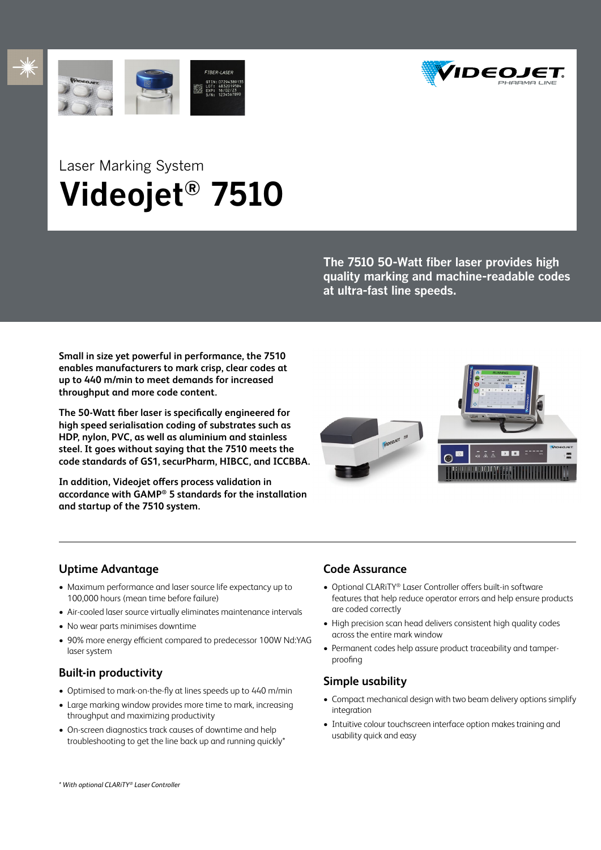





# Laser Marking System **Videojet® 7510**

**The 7510 50-Watt fiber laser provides high quality marking and machine-readable codes at ultra-fast line speeds.**

**Small in size yet powerful in performance, the 7510 enables manufacturers to mark crisp, clear codes at up to 440 m/min to meet demands for increased throughput and more code content.**

**The 50-Watt fiber laser is specifically engineered for high speed serialisation coding of substrates such as HDP, nylon, PVC, as well as aluminium and stainless steel. It goes without saying that the 7510 meets the code standards of GS1, securPharm, HIBCC, and ICCBBA.**

**In addition, Videojet offers process validation in accordance with GAMP® 5 standards for the installation and startup of the 7510 system.**



# **Uptime Advantage**

- Maximum performance and laser source life expectancy up to 100,000 hours (mean time before failure)
- Air-cooled laser source virtually eliminates maintenance intervals
- No wear parts minimises downtime
- 90% more energy efficient compared to predecessor 100W Nd:YAG laser system

# **Built-in productivity**

- Optimised to mark-on-the-fly at lines speeds up to 440 m/min
- Large marking window provides more time to mark, increasing throughput and maximizing productivity
- On-screen diagnostics track causes of downtime and help troubleshooting to get the line back up and running quickly\*

# **Code Assurance**

- Optional CLARiTY® Laser Controller offers built-in software features that help reduce operator errors and help ensure products are coded correctly
- High precision scan head delivers consistent high quality codes across the entire mark window
- Permanent codes help assure product traceability and tamperproofing

# **Simple usability**

- Compact mechanical design with two beam delivery options simplify integration
- Intuitive colour touchscreen interface option makes training and usability quick and easy